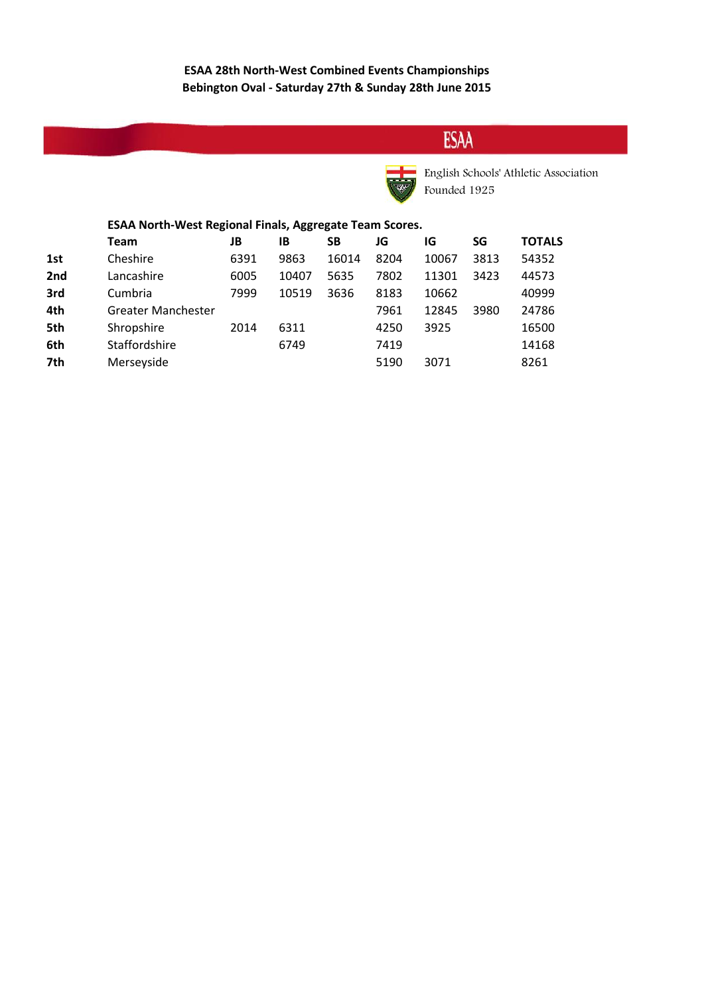# **ESAA**



English Schools' Athletic Association Founded 1925

#### **ESAA North-West Regional Finals, Aggregate Team Scores.**

|     | Team                      | JB   | ΙB    | SΒ    | JG   | IG    | SG   | <b>TOTALS</b> |
|-----|---------------------------|------|-------|-------|------|-------|------|---------------|
| 1st | Cheshire                  | 6391 | 9863  | 16014 | 8204 | 10067 | 3813 | 54352         |
| 2nd | Lancashire                | 6005 | 10407 | 5635  | 7802 | 11301 | 3423 | 44573         |
| 3rd | Cumbria                   | 7999 | 10519 | 3636  | 8183 | 10662 |      | 40999         |
| 4th | <b>Greater Manchester</b> |      |       |       | 7961 | 12845 | 3980 | 24786         |
| 5th | Shropshire                | 2014 | 6311  |       | 4250 | 3925  |      | 16500         |
| 6th | Staffordshire             |      | 6749  |       | 7419 |       |      | 14168         |
| 7th | Merseyside                |      |       |       | 5190 | 3071  |      | 8261          |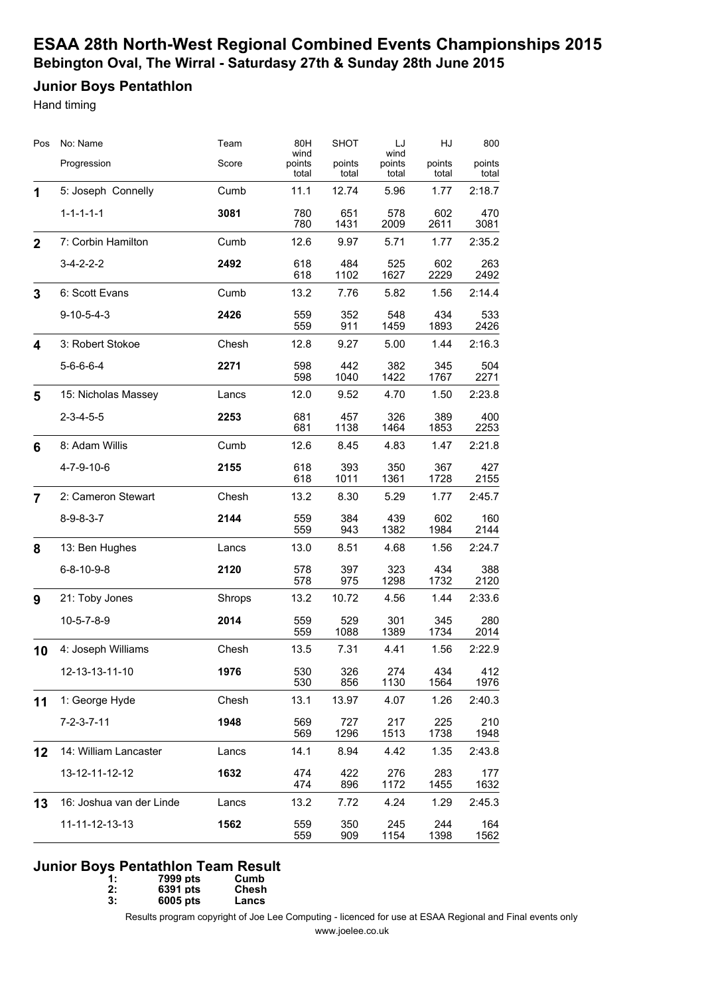# **Junior Boys Pentathlon**

Hand timing

| Pos          | No: Name                 | Team   | 80H<br>wind     | <b>SHOT</b>     | LJ                      | HJ              | 800             |
|--------------|--------------------------|--------|-----------------|-----------------|-------------------------|-----------------|-----------------|
|              | Progression              | Score  | points<br>total | points<br>total | wind<br>points<br>total | points<br>total | points<br>total |
| 1            | 5: Joseph Connelly       | Cumb   | 11.1            | 12.74           | 5.96                    | 1.77            | 2:18.7          |
|              | $1 - 1 - 1 - 1 - 1$      | 3081   | 780<br>780      | 651<br>1431     | 578<br>2009             | 602<br>2611     | 470<br>3081     |
| $\mathbf{2}$ | 7: Corbin Hamilton       | Cumb   | 12.6            | 9.97            | 5.71                    | 1.77            | 2:35.2          |
|              | $3-4-2-2-2$              | 2492   | 618<br>618      | 484<br>1102     | 525<br>1627             | 602<br>2229     | 263<br>2492     |
| 3            | 6: Scott Evans           | Cumb   | 13.2            | 7.76            | 5.82                    | 1.56            | 2:14.4          |
|              | $9 - 10 - 5 - 4 - 3$     | 2426   | 559<br>559      | 352<br>911      | 548<br>1459             | 434<br>1893     | 533<br>2426     |
| 4            | 3: Robert Stokoe         | Chesh  | 12.8            | 9.27            | 5.00                    | 1.44            | 2:16.3          |
|              | $5 - 6 - 6 - 4$          | 2271   | 598<br>598      | 442<br>1040     | 382<br>1422             | 345<br>1767     | 504<br>2271     |
| 5            | 15: Nicholas Massey      | Lancs  | 12.0            | 9.52            | 4.70                    | 1.50            | 2:23.8          |
|              | $2 - 3 - 4 - 5 - 5$      | 2253   | 681<br>681      | 457<br>1138     | 326<br>1464             | 389<br>1853     | 400<br>2253     |
| 6            | 8: Adam Willis           | Cumb   | 12.6            | 8.45            | 4.83                    | 1.47            | 2:21.8          |
|              | 4-7-9-10-6               | 2155   | 618<br>618      | 393<br>1011     | 350<br>1361             | 367<br>1728     | 427<br>2155     |
| 7            | 2: Cameron Stewart       | Chesh  | 13.2            | 8.30            | 5.29                    | 1.77            | 2:45.7          |
|              | $8 - 9 - 8 - 3 - 7$      | 2144   | 559<br>559      | 384<br>943      | 439<br>1382             | 602<br>1984     | 160<br>2144     |
| 8            | 13: Ben Hughes           | Lancs  | 13.0            | 8.51            | 4.68                    | 1.56            | 2:24.7          |
|              | $6 - 8 - 10 - 9 - 8$     | 2120   | 578<br>578      | 397<br>975      | 323<br>1298             | 434<br>1732     | 388<br>2120     |
| 9            | 21: Toby Jones           | Shrops | 13.2            | 10.72           | 4.56                    | 1.44            | 2:33.6          |
|              | $10 - 5 - 7 - 8 - 9$     | 2014   | 559<br>559      | 529<br>1088     | 301<br>1389             | 345<br>1734     | 280<br>2014     |
| 10           | 4: Joseph Williams       | Chesh  | 13.5            | 7.31            | 4.41                    | 1.56            | 2:22.9          |
|              | 12-13-13-11-10           | 1976   | 530<br>530      | 326<br>856      | 274<br>1130             | 434<br>1564     | 412<br>1976     |
| 11           | 1: George Hyde           | Chesh  | 13.1            | 13.97           | 4.07                    | 1.26            | 2:40.3          |
|              | $7 - 2 - 3 - 7 - 11$     | 1948   | 569<br>569      | 727<br>1296     | 217<br>1513             | 225<br>1738     | 210<br>1948     |
| 12           | 14: William Lancaster    | Lancs  | 14.1            | 8.94            | 4.42                    | 1.35            | 2:43.8          |
|              | 13-12-11-12-12           | 1632   | 474<br>474      | 422<br>896      | 276<br>1172             | 283<br>1455     | 177<br>1632     |
| 13           | 16: Joshua van der Linde | Lancs  | 13.2            | 7.72            | 4.24                    | 1.29            | 2:45.3          |
|              | 11-11-12-13-13           | 1562   | 559<br>559      | 350<br>909      | 245<br>1154             | 244<br>1398     | 164<br>1562     |

#### **Junior Boys Pentathlon Team Result**

| 1: | 7999 pts | Cumb  |
|----|----------|-------|
| 2: | 6391 pts | Chesh |

**3: 6005 pts Lancs**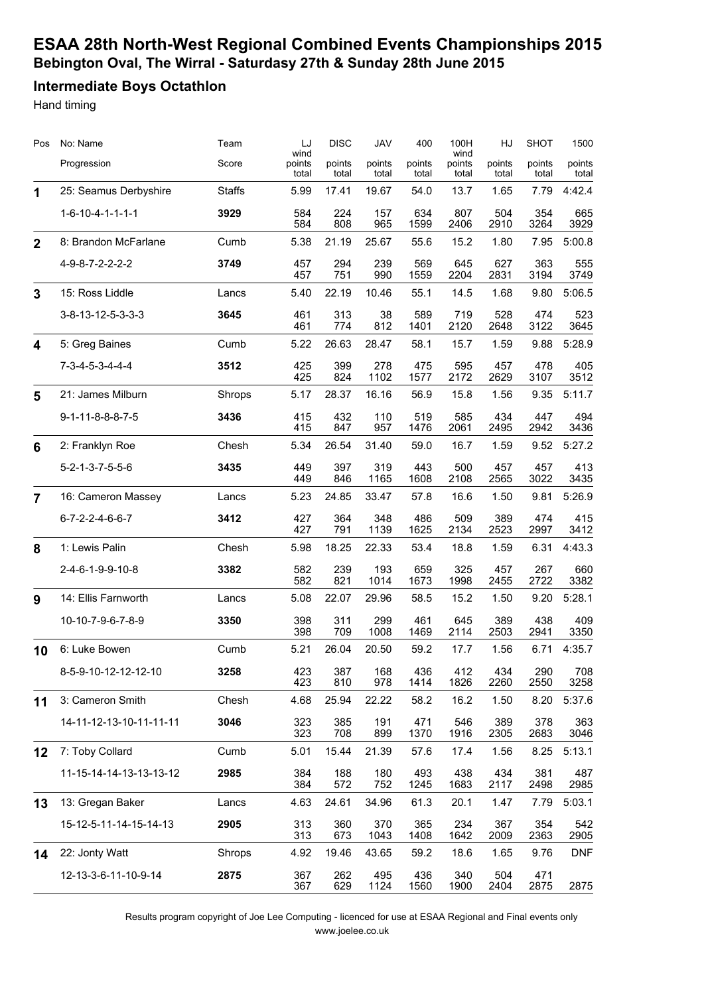### **Intermediate Boys Octathlon**

Hand timing

| Pos            | No: Name                         | Team          | LJ                      | <b>DISC</b>     | JAV             | 400             | 100H                    | HJ              | <b>SHOT</b>     | 1500            |
|----------------|----------------------------------|---------------|-------------------------|-----------------|-----------------|-----------------|-------------------------|-----------------|-----------------|-----------------|
|                | Progression                      | Score         | wind<br>points<br>total | points<br>total | points<br>total | points<br>total | wind<br>points<br>total | points<br>total | points<br>total | points<br>total |
| 1              | 25: Seamus Derbyshire            | <b>Staffs</b> | 5.99                    | 17.41           | 19.67           | 54.0            | 13.7                    | 1.65            | 7.79            | 4:42.4          |
|                | $1 - 6 - 10 - 4 - 1 - 1 - 1$     | 3929          | 584<br>584              | 224<br>808      | 157<br>965      | 634<br>1599     | 807<br>2406             | 504<br>2910     | 354<br>3264     | 665<br>3929     |
| $\overline{2}$ | 8: Brandon McFarlane             | Cumb          | 5.38                    | 21.19           | 25.67           | 55.6            | 15.2                    | 1.80            | 7.95            | 5:00.8          |
|                | 4-9-8-7-2-2-2-2                  | 3749          | 457<br>457              | 294<br>751      | 239<br>990      | 569<br>1559     | 645<br>2204             | 627<br>2831     | 363<br>3194     | 555<br>3749     |
| 3              | 15: Ross Liddle                  | Lancs         | 5.40                    | 22.19           | 10.46           | 55.1            | 14.5                    | 1.68            | 9.80            | 5:06.5          |
|                | 3-8-13-12-5-3-3-3                | 3645          | 461<br>461              | 313<br>774      | 38<br>812       | 589<br>1401     | 719<br>2120             | 528<br>2648     | 474<br>3122     | 523<br>3645     |
| 4              | 5: Greg Baines                   | Cumb          | 5.22                    | 26.63           | 28.47           | 58.1            | 15.7                    | 1.59            | 9.88            | 5:28.9          |
|                | $7 - 3 - 4 - 5 - 3 - 4 - 4 - 4$  | 3512          | 425<br>425              | 399<br>824      | 278<br>1102     | 475<br>1577     | 595<br>2172             | 457<br>2629     | 478<br>3107     | 405<br>3512     |
| 5              | 21: James Milburn                | Shrops        | 5.17                    | 28.37           | 16.16           | 56.9            | 15.8                    | 1.56            | 9.35            | 5:11.7          |
|                | $9 - 1 - 11 - 8 - 8 - 8 - 7 - 5$ | 3436          | 415<br>415              | 432<br>847      | 110<br>957      | 519<br>1476     | 585<br>2061             | 434<br>2495     | 447<br>2942     | 494<br>3436     |
| $6\phantom{1}$ | 2: Franklyn Roe                  | Chesh         | 5.34                    | 26.54           | 31.40           | 59.0            | 16.7                    | 1.59            | 9.52            | 5:27.2          |
|                | $5 - 2 - 1 - 3 - 7 - 5 - 5 - 6$  | 3435          | 449<br>449              | 397<br>846      | 319<br>1165     | 443<br>1608     | 500<br>2108             | 457<br>2565     | 457<br>3022     | 413<br>3435     |
| $\overline{7}$ | 16: Cameron Massey               | Lancs         | 5.23                    | 24.85           | 33.47           | 57.8            | 16.6                    | 1.50            | 9.81            | 5:26.9          |
|                | $6 - 7 - 2 - 2 - 4 - 6 - 6 - 7$  | 3412          | 427<br>427              | 364<br>791      | 348<br>1139     | 486<br>1625     | 509<br>2134             | 389<br>2523     | 474<br>2997     | 415<br>3412     |
| 8              | 1: Lewis Palin                   | Chesh         | 5.98                    | 18.25           | 22.33           | 53.4            | 18.8                    | 1.59            | 6.31            | 4:43.3          |
|                | 2-4-6-1-9-9-10-8                 | 3382          | 582<br>582              | 239<br>821      | 193<br>1014     | 659<br>1673     | 325<br>1998             | 457<br>2455     | 267<br>2722     | 660<br>3382     |
| 9              | 14: Ellis Farnworth              | Lancs         | 5.08                    | 22.07           | 29.96           | 58.5            | 15.2                    | 1.50            | 9.20            | 5:28.1          |
|                | 10-10-7-9-6-7-8-9                | 3350          | 398<br>398              | 311<br>709      | 299<br>1008     | 461<br>1469     | 645<br>2114             | 389<br>2503     | 438<br>2941     | 409<br>3350     |
| 10             | 6: Luke Bowen                    | Cumb          | 5.21                    | 26.04           | 20.50           | 59.2            | 17.7                    | 1.56            | 6.71            | 4:35.7          |
|                | 8-5-9-10-12-12-12-10             | 3258          | 423<br>423              | 387<br>810      | 168<br>978      | 436<br>1414     | 412<br>1826             | 434<br>2260     | 290<br>2550     | 708<br>3258     |
| 11             | 3: Cameron Smith                 | Chesh         | 4.68                    | 25.94           | 22.22           | 58.2            | 16.2                    | 1.50            | 8.20            | 5:37.6          |
|                | 14-11-12-13-10-11-11-11          | 3046          | 323<br>323              | 385<br>708      | 191<br>899      | 471<br>1370     | 546<br>1916             | 389<br>2305     | 378<br>2683     | 363<br>3046     |
| 12             | 7: Toby Collard                  | Cumb          | 5.01                    | 15.44           | 21.39           | 57.6            | 17.4                    | 1.56            | 8.25            | 5:13.1          |
|                | 11-15-14-14-13-13-13-12          | 2985          | 384<br>384              | 188<br>572      | 180<br>752      | 493<br>1245     | 438<br>1683             | 434<br>2117     | 381<br>2498     | 487<br>2985     |
| 13             | 13: Gregan Baker                 | Lancs         | 4.63                    | 24.61           | 34.96           | 61.3            | 20.1                    | 1.47            | 7.79            | 5:03.1          |
|                | 15-12-5-11-14-15-14-13           | 2905          | 313<br>313              | 360<br>673      | 370<br>1043     | 365<br>1408     | 234<br>1642             | 367<br>2009     | 354<br>2363     | 542<br>2905     |
| 14             | 22: Jonty Watt                   | Shrops        | 4.92                    | 19.46           | 43.65           | 59.2            | 18.6                    | 1.65            | 9.76            | <b>DNF</b>      |
|                | 12-13-3-6-11-10-9-14             | 2875          | 367<br>367              | 262<br>629      | 495<br>1124     | 436<br>1560     | 340<br>1900             | 504<br>2404     | 471<br>2875     | 2875            |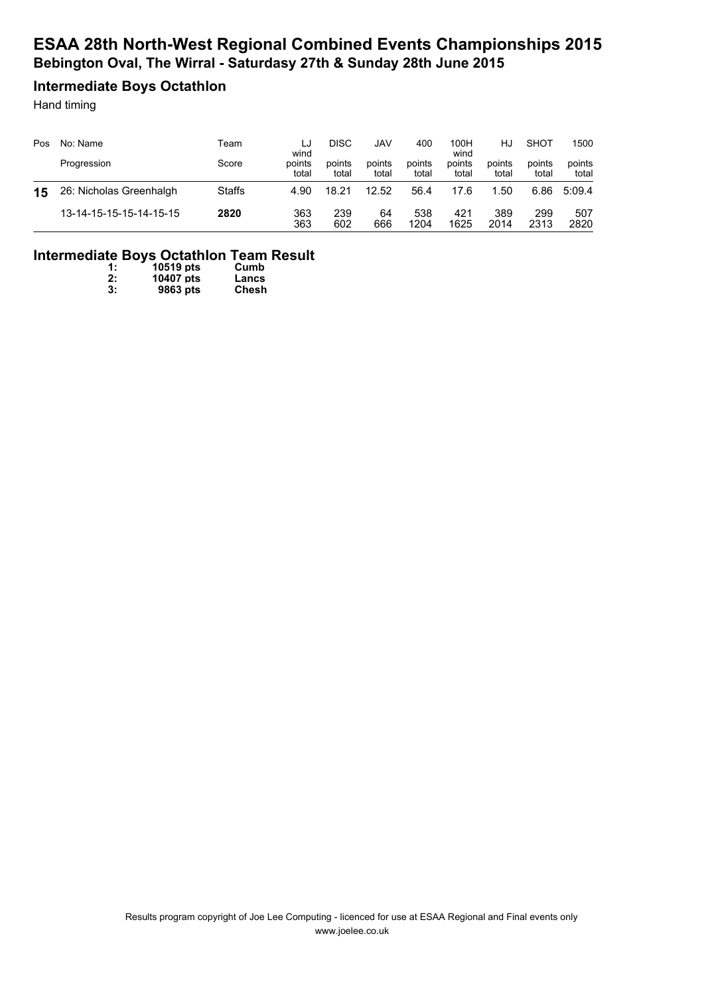### **Intermediate Boys Octathlon**

Hand timing

| Pos | No: Name<br>Progression | Team<br>Score | LJ<br>wind<br>points | DISC<br>points | JAV<br>points | 400<br>points | 100H<br>wind<br>points | HJ<br>points | SHOT<br>points | 1500<br>points |
|-----|-------------------------|---------------|----------------------|----------------|---------------|---------------|------------------------|--------------|----------------|----------------|
|     |                         |               | total                | total          | total         | total         | total                  | total        | total          | total          |
| 15  | 26: Nicholas Greenhalgh | <b>Staffs</b> | 4.90                 | 18.21          | 12.52         | 56.4          | 17.6                   | .50          | 6.86           | 5:09.4         |
|     | 13-14-15-15-15-14-15-15 | 2820          | 363<br>363           | 239<br>602     | 64<br>666     | 538<br>1204   | 421<br>1625            | 389<br>2014  | 299<br>2313    | 507<br>2820    |

### **Intermediate Boys Octathlon Team Result**

| 1: | 10519 pts | Cumb  |
|----|-----------|-------|
| 2: | 10407 pts | Lancs |
| 3: | 9863 pts  | Chesh |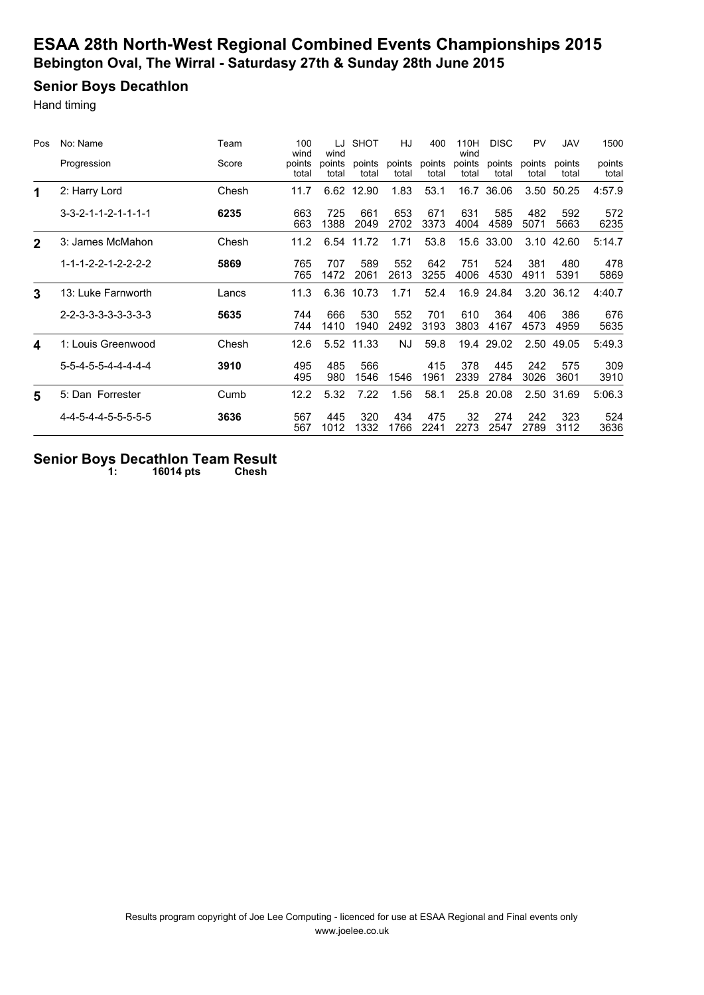# **Senior Boys Decathlon**

Hand timing

| Pos          | No: Name                            | Team  | 100<br>wind     | LJ<br>wind      | <b>SHOT</b>     | HJ              | 400             | 110H<br>wind    | <b>DISC</b>     | <b>PV</b>       | <b>JAV</b>      | 1500            |
|--------------|-------------------------------------|-------|-----------------|-----------------|-----------------|-----------------|-----------------|-----------------|-----------------|-----------------|-----------------|-----------------|
|              | Progression                         | Score | points<br>total | points<br>total | points<br>total | points<br>total | points<br>total | points<br>total | points<br>total | points<br>total | points<br>total | points<br>total |
| 1            | 2: Harry Lord                       | Chesh | 11.7            | 6.62            | 12.90           | 1.83            | 53.1            |                 | 16.7 36.06      |                 | 3.50 50.25      | 4:57.9          |
|              | $3 - 3 - 2 - 1 - 1 - 2 - 1 - 1 - 1$ | 6235  | 663<br>663      | 725<br>1388     | 661<br>2049     | 653<br>2702     | 671<br>3373     | 631<br>4004     | 585<br>4589     | 482<br>5071     | 592<br>5663     | 572<br>6235     |
| $\mathbf{2}$ | 3: James McMahon                    | Chesh | 11.2            | 6.54            | 11.72           | 1.71            | 53.8            | 15.6            | 33.00           | 3.10            | 42.60           | 5:14.7          |
|              | $1 - 1 - 1 - 2 - 2 - 1 - 2 - 2 - 2$ | 5869  | 765<br>765      | 707<br>1472     | 589<br>2061     | 552<br>2613     | 642<br>3255     | 751<br>4006     | 524<br>4530     | 381<br>4911     | 480<br>5391     | 478<br>5869     |
| 3            | 13: Luke Farnworth                  | Lancs | 11.3            | 6.36            | 10.73           | 1.71            | 52.4            | 16.9            | 24.84           | 3.20            | 36.12           | 4:40.7          |
|              | $2 - 2 - 3 - 3 - 3 - 3 - 3 - 3$     | 5635  | 744<br>744      | 666<br>1410     | 530<br>1940     | 552<br>2492     | 701<br>3193     | 610<br>3803     | 364<br>4167     | 406<br>4573     | 386<br>4959     | 676<br>5635     |
| 4            | 1: Louis Greenwood                  | Chesh | 12.6            |                 | 5.52 11.33      | NJ.             | 59.8            |                 | 19.4 29.02      | 2.50            | 49.05           | 5:49.3          |
|              | 5-5-4-5-5-4-4-4-4-4                 | 3910  | 495<br>495      | 485<br>980      | 566<br>1546     | 1546            | 415<br>1961     | 378<br>2339     | 445<br>2784     | 242<br>3026     | 575<br>3601     | 309<br>3910     |
| 5            | 5: Dan Forrester                    | Cumb  | 12.2            | 5.32            | 7.22            | 1.56            | 58.1            | 25.8            | 20.08           | 2.50            | 31.69           | 5:06.3          |
|              | 4-4-5-4-4-5-5-5-5-5                 | 3636  | 567<br>567      | 445<br>1012     | 320<br>1332     | 434<br>1766     | 475<br>2241     | 32<br>2273      | 274<br>2547     | 242<br>2789     | 323<br>3112     | 524<br>3636     |

#### **Senior Boys Decathlon Team Result 1: 16014 pts Chesh**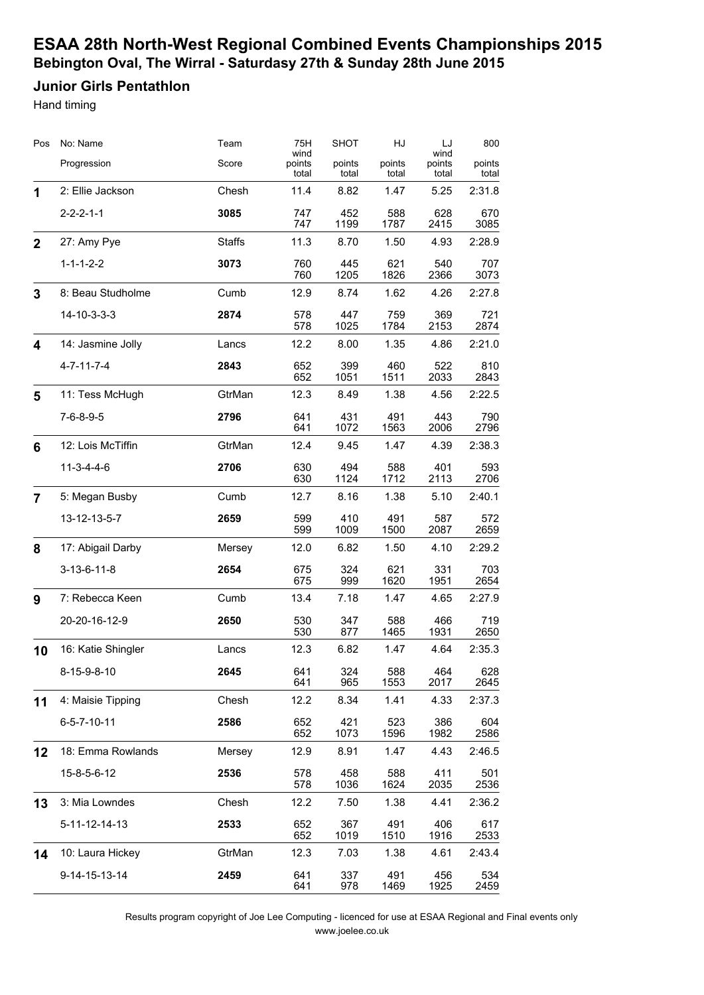### **Junior Girls Pentathlon**

Hand timing

| Pos          | No: Name              | Team          | 75H<br>wind     | <b>SHOT</b>     | HJ              | LJ<br>wind      | 800             |
|--------------|-----------------------|---------------|-----------------|-----------------|-----------------|-----------------|-----------------|
|              | Progression           | Score         | points<br>total | points<br>total | points<br>total | points<br>total | points<br>total |
| 1            | 2: Ellie Jackson      | Chesh         | 11.4            | 8.82            | 1.47            | 5.25            | 2:31.8          |
|              | $2 - 2 - 2 - 1 - 1$   | 3085          | 747<br>747      | 452<br>1199     | 588<br>1787     | 628<br>2415     | 670<br>3085     |
| $\mathbf{2}$ | 27: Amy Pye           | <b>Staffs</b> | 11.3            | 8.70            | 1.50            | 4.93            | 2:28.9          |
|              | $1 - 1 - 1 - 2 - 2$   | 3073          | 760<br>760      | 445<br>1205     | 621<br>1826     | 540<br>2366     | 707<br>3073     |
| 3            | 8: Beau Studholme     | Cumb          | 12.9            | 8.74            | 1.62            | 4.26            | 2:27.8          |
|              | 14-10-3-3-3           | 2874          | 578<br>578      | 447<br>1025     | 759<br>1784     | 369<br>2153     | 721<br>2874     |
| 4            | 14: Jasmine Jolly     | Lancs         | 12.2            | 8.00            | 1.35            | 4.86            | 2:21.0          |
|              | $4 - 7 - 11 - 7 - 4$  | 2843          | 652<br>652      | 399<br>1051     | 460<br>1511     | 522<br>2033     | 810<br>2843     |
| 5            | 11: Tess McHugh       | GtrMan        | 12.3            | 8.49            | 1.38            | 4.56            | 2:22.5          |
|              | $7 - 6 - 8 - 9 - 5$   | 2796          | 641<br>641      | 431<br>1072     | 491<br>1563     | 443<br>2006     | 790<br>2796     |
| 6            | 12: Lois McTiffin     | GtrMan        | 12.4            | 9.45            | 1.47            | 4.39            | 2:38.3          |
|              | $11-3-4-4-6$          | 2706          | 630<br>630      | 494<br>1124     | 588<br>1712     | 401<br>2113     | 593<br>2706     |
| 7            | 5: Megan Busby        | Cumb          | 12.7            | 8.16            | 1.38            | 5.10            | 2:40.1          |
|              | 13-12-13-5-7          | 2659          | 599<br>599      | 410<br>1009     | 491<br>1500     | 587<br>2087     | 572<br>2659     |
| 8            | 17: Abigail Darby     | Mersey        | 12.0            | 6.82            | 1.50            | 4.10            | 2:29.2          |
|              | $3 - 13 - 6 - 11 - 8$ | 2654          | 675<br>675      | 324<br>999      | 621<br>1620     | 331<br>1951     | 703<br>2654     |
| 9            | 7: Rebecca Keen       | Cumb          | 13.4            | 7.18            | 1.47            | 4.65            | 2:27.9          |
|              | 20-20-16-12-9         | 2650          | 530<br>530      | 347<br>877      | 588<br>1465     | 466<br>1931     | 719<br>2650     |
| 10           | 16: Katie Shingler    | Lancs         | 12.3            | 6.82            | 1.47            | 4.64            | 2:35.3          |
|              | 8-15-9-8-10           | 2645          | 641<br>641      | 324<br>965      | 588<br>1553     | 464<br>2017     | 628<br>2645     |
| 11           | 4: Maisie Tipping     | Chesh         | 12.2            | 8.34            | 1.41            | 4.33            | 2:37.3          |
|              | $6 - 5 - 7 - 10 - 11$ | 2586          | 652<br>652      | 421<br>1073     | 523<br>1596     | 386<br>1982     | 604<br>2586     |
| 12           | 18: Emma Rowlands     | Mersey        | 12.9            | 8.91            | 1.47            | 4.43            | 2:46.5          |
|              | 15-8-5-6-12           | 2536          | 578<br>578      | 458<br>1036     | 588<br>1624     | 411<br>2035     | 501<br>2536     |
| 13           | 3: Mia Lowndes        | Chesh         | 12.2            | 7.50            | 1.38            | 4.41            | 2:36.2          |
|              | 5-11-12-14-13         | 2533          | 652<br>652      | 367<br>1019     | 491<br>1510     | 406<br>1916     | 617<br>2533     |
| 14           | 10: Laura Hickey      | GtrMan        | 12.3            | 7.03            | 1.38            | 4.61            | 2:43.4          |
|              | 9-14-15-13-14         | 2459          | 641<br>641      | 337<br>978      | 491<br>1469     | 456<br>1925     | 534<br>2459     |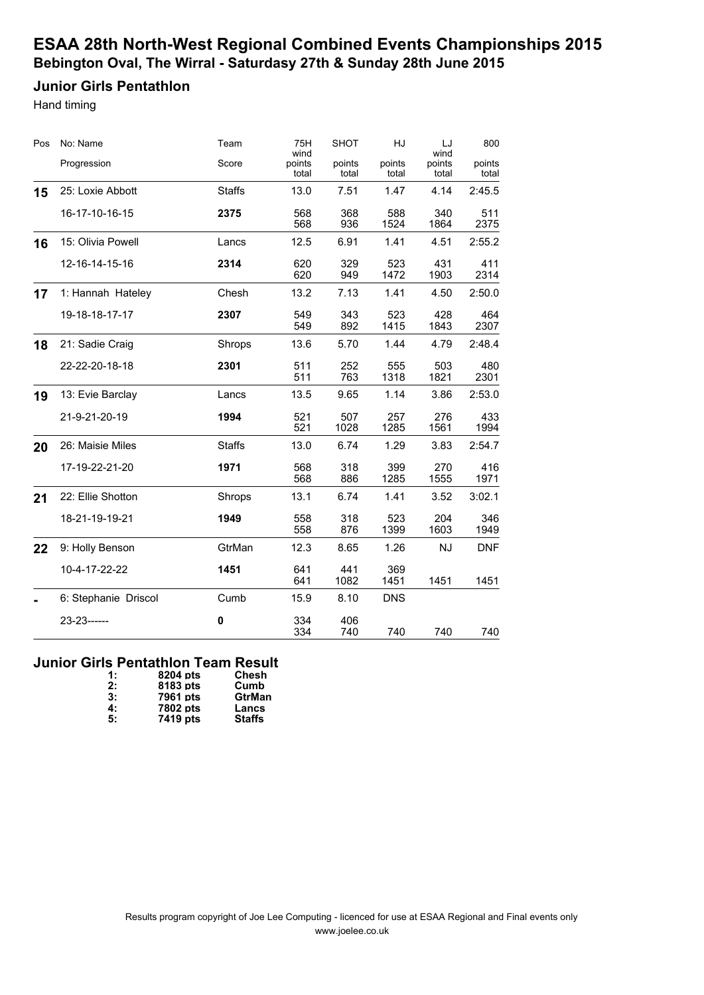### **Junior Girls Pentathlon**

Hand timing

| Pos | No: Name             | Team          | 75H<br>wind     | <b>SHOT</b>     | HJ              | LJ<br>wind      | 800             |
|-----|----------------------|---------------|-----------------|-----------------|-----------------|-----------------|-----------------|
|     | Progression          | Score         | points<br>total | points<br>total | points<br>total | points<br>total | points<br>total |
| 15  | 25: Loxie Abbott     | <b>Staffs</b> | 13.0            | 7.51            | 1.47            | 4.14            | 2:45.5          |
|     | 16-17-10-16-15       | 2375          | 568<br>568      | 368<br>936      | 588<br>1524     | 340<br>1864     | 511<br>2375     |
| 16  | 15: Olivia Powell    | Lancs         | 12.5            | 6.91            | 1.41            | 4.51            | 2:55.2          |
|     | 12-16-14-15-16       | 2314          | 620<br>620      | 329<br>949      | 523<br>1472     | 431<br>1903     | 411<br>2314     |
| 17  | 1: Hannah Hateley    | Chesh         | 13.2            | 7.13            | 1.41            | 4.50            | 2:50.0          |
|     | 19-18-18-17-17       | 2307          | 549<br>549      | 343<br>892      | 523<br>1415     | 428<br>1843     | 464<br>2307     |
| 18  | 21: Sadie Craig      | Shrops        | 13.6            | 5.70            | 1.44            | 4.79            | 2:48.4          |
|     | 22-22-20-18-18       | 2301          | 511<br>511      | 252<br>763      | 555<br>1318     | 503<br>1821     | 480<br>2301     |
| 19  | 13: Evie Barclay     | Lancs         | 13.5            | 9.65            | 1.14            | 3.86            | 2:53.0          |
|     | 21-9-21-20-19        | 1994          | 521<br>521      | 507<br>1028     | 257<br>1285     | 276<br>1561     | 433<br>1994     |
| 20  | 26: Maisie Miles     | <b>Staffs</b> | 13.0            | 6.74            | 1.29            | 3.83            | 2:54.7          |
|     | 17-19-22-21-20       | 1971          | 568<br>568      | 318<br>886      | 399<br>1285     | 270<br>1555     | 416<br>1971     |
| 21  | 22: Ellie Shotton    | Shrops        | 13.1            | 6.74            | 1.41            | 3.52            | 3:02.1          |
|     | 18-21-19-19-21       | 1949          | 558<br>558      | 318<br>876      | 523<br>1399     | 204<br>1603     | 346<br>1949     |
| 22  | 9: Holly Benson      | GtrMan        | 12.3            | 8.65            | 1.26            | <b>NJ</b>       | <b>DNF</b>      |
|     | 10-4-17-22-22        | 1451          | 641<br>641      | 441<br>1082     | 369<br>1451     | 1451            | 1451            |
|     | 6: Stephanie Driscol | Cumb          | 15.9            | 8.10            | <b>DNS</b>      |                 |                 |
|     | 23-23------          | $\pmb{0}$     | 334<br>334      | 406<br>740      | 740             | 740             | 740             |

#### **Junior Girls Pentathlon Team Result**

| $\ddagger$ : | 8204 pts | Chesh         |
|--------------|----------|---------------|
| 2:           | 8183 pts | Cumb          |
| 3:           | 7961 pts | GtrMan        |
| 4:           | 7802 pts | Lancs         |
| 5:           | 7419 pts | <b>Staffs</b> |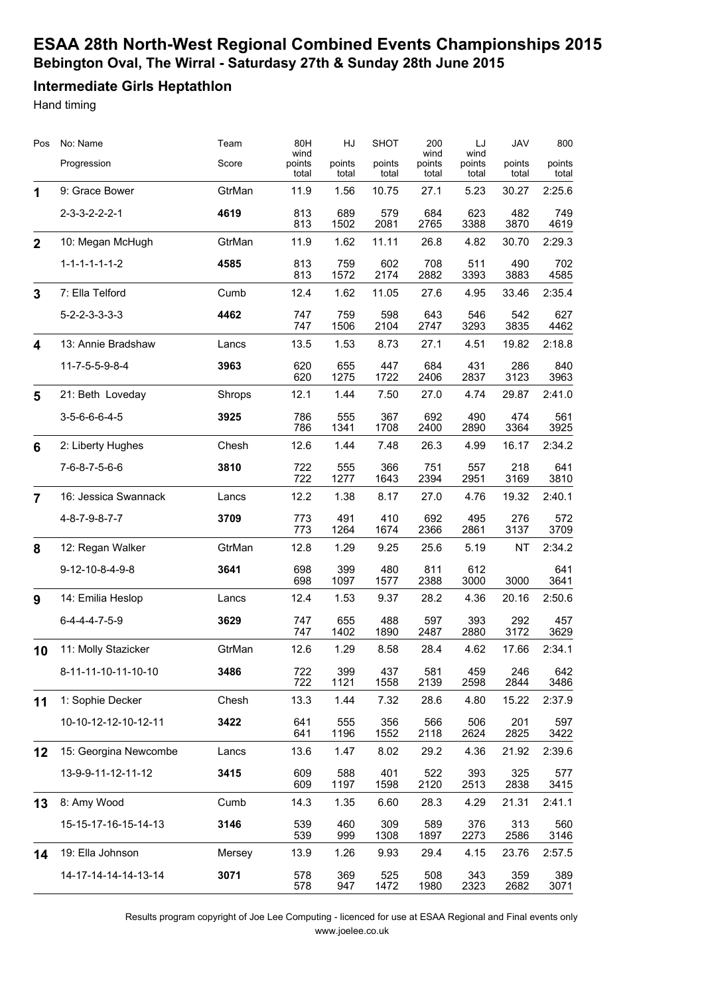### **Intermediate Girls Heptathlon**

Hand timing

| Pos            | No: Name                | Team   | 80H<br>wind     | HJ              | <b>SHOT</b>     | 200<br>wind     | LJ<br>wind      | <b>JAV</b>      | 800             |
|----------------|-------------------------|--------|-----------------|-----------------|-----------------|-----------------|-----------------|-----------------|-----------------|
|                | Progression             | Score  | points<br>total | points<br>total | points<br>total | points<br>total | points<br>total | points<br>total | points<br>total |
| 1              | 9: Grace Bower          | GtrMan | 11.9            | 1.56            | 10.75           | 27.1            | 5.23            | 30.27           | 2:25.6          |
|                | $2 - 3 - 3 - 2 - 2 - 1$ | 4619   | 813<br>813      | 689<br>1502     | 579<br>2081     | 684<br>2765     | 623<br>3388     | 482<br>3870     | 749<br>4619     |
| $\overline{2}$ | 10: Megan McHugh        | GtrMan | 11.9            | 1.62            | 11.11           | 26.8            | 4.82            | 30.70           | 2:29.3          |
|                | $1 - 1 - 1 - 1 - 1 - 2$ | 4585   | 813<br>813      | 759<br>1572     | 602<br>2174     | 708<br>2882     | 511<br>3393     | 490<br>3883     | 702<br>4585     |
| $\mathbf{3}$   | 7: Ella Telford         | Cumb   | 12.4            | 1.62            | 11.05           | 27.6            | 4.95            | 33.46           | 2:35.4          |
|                | $5 - 2 - 2 - 3 - 3 - 3$ | 4462   | 747<br>747      | 759<br>1506     | 598<br>2104     | 643<br>2747     | 546<br>3293     | 542<br>3835     | 627<br>4462     |
| 4              | 13: Annie Bradshaw      | Lancs  | 13.5            | 1.53            | 8.73            | 27.1            | 4.51            | 19.82           | 2:18.8          |
|                | 11-7-5-5-9-8-4          | 3963   | 620<br>620      | 655<br>1275     | 447<br>1722     | 684<br>2406     | 431<br>2837     | 286<br>3123     | 840<br>3963     |
| 5              | 21: Beth Loveday        | Shrops | 12.1            | 1.44            | 7.50            | 27.0            | 4.74            | 29.87           | 2:41.0          |
|                | $3-5-6-6-6-4-5$         | 3925   | 786<br>786      | 555<br>1341     | 367<br>1708     | 692<br>2400     | 490<br>2890     | 474<br>3364     | 561<br>3925     |
| 6              | 2: Liberty Hughes       | Chesh  | 12.6            | 1.44            | 7.48            | 26.3            | 4.99            | 16.17           | 2:34.2          |
|                | 7-6-8-7-5-6-6           | 3810   | 722<br>722      | 555<br>1277     | 366<br>1643     | 751<br>2394     | 557<br>2951     | 218<br>3169     | 641<br>3810     |
| $\overline{7}$ | 16: Jessica Swannack    | Lancs  | 12.2            | 1.38            | 8.17            | 27.0            | 4.76            | 19.32           | 2:40.1          |
|                | 4-8-7-9-8-7-7           | 3709   | 773<br>773      | 491<br>1264     | 410<br>1674     | 692<br>2366     | 495<br>2861     | 276<br>3137     | 572<br>3709     |
| 8              | 12: Regan Walker        | GtrMan | 12.8            | 1.29            | 9.25            | 25.6            | 5.19            | <b>NT</b>       | 2:34.2          |
|                | 9-12-10-8-4-9-8         | 3641   | 698<br>698      | 399<br>1097     | 480<br>1577     | 811<br>2388     | 612<br>3000     | 3000            | 641<br>3641     |
| 9              | 14: Emilia Heslop       | Lancs  | 12.4            | 1.53            | 9.37            | 28.2            | 4.36            | 20.16           | 2:50.6          |
|                | $6-4-4-4-7-5-9$         | 3629   | 747<br>747      | 655<br>1402     | 488<br>1890     | 597<br>2487     | 393<br>2880     | 292<br>3172     | 457<br>3629     |
| 10             | 11: Molly Stazicker     | GtrMan | 12.6            | 1.29            | 8.58            | 28.4            | 4.62            | 17.66           | 2:34.1          |
|                | 8-11-11-10-11-10-10     | 3486   | 722<br>722      | 399<br>1121     | 437<br>1558     | 581<br>2139     | 459<br>2598     | 246<br>2844     | 642<br>3486     |
| 11             | 1: Sophie Decker        | Chesh  | 13.3            | 1.44            | 7.32            | 28.6            | 4.80            | 15.22           | 2:37.9          |
|                | 10-10-12-12-10-12-11    | 3422   | 641<br>641      | 555<br>1196     | 356<br>1552     | 566<br>2118     | 506<br>2624     | 201<br>2825     | 597<br>3422     |
| 12             | 15: Georgina Newcombe   | Lancs  | 13.6            | 1.47            | 8.02            | 29.2            | 4.36            | 21.92           | 2:39.6          |
|                | 13-9-9-11-12-11-12      | 3415   | 609<br>609      | 588<br>1197     | 401<br>1598     | 522<br>2120     | 393<br>2513     | 325<br>2838     | 577<br>3415     |
| 13             | 8: Amy Wood             | Cumb   | 14.3            | 1.35            | 6.60            | 28.3            | 4.29            | 21.31           | 2:41.1          |
|                | 15-15-17-16-15-14-13    | 3146   | 539<br>539      | 460<br>999      | 309<br>1308     | 589<br>1897     | 376<br>2273     | 313<br>2586     | 560<br>3146     |
| 14             | 19: Ella Johnson        | Mersey | 13.9            | 1.26            | 9.93            | 29.4            | 4.15            | 23.76           | 2:57.5          |
|                | 14-17-14-14-14-13-14    | 3071   | 578<br>578      | 369<br>947      | 525<br>1472     | 508<br>1980     | 343<br>2323     | 359<br>2682     | 389<br>3071     |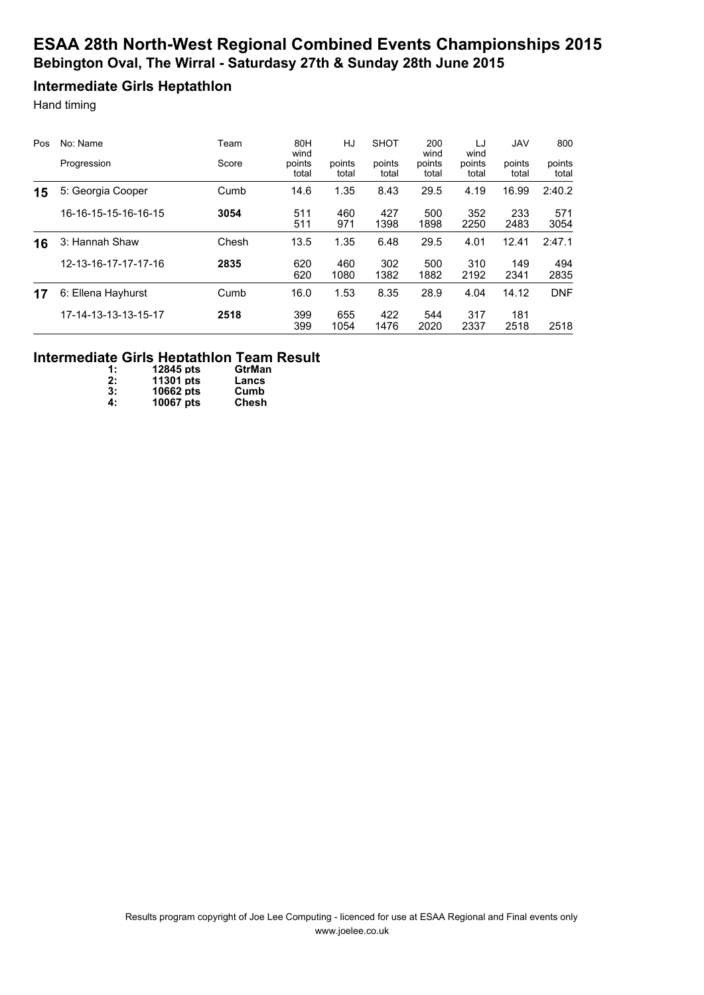### **Intermediate Girls Heptathlon**

Hand timing

| Pos | No: Name             | Team  | 80H<br>wind     | HJ              | <b>SHOT</b>     | 200<br>wind     | LJ<br>wind      | <b>JAV</b>      | 800             |
|-----|----------------------|-------|-----------------|-----------------|-----------------|-----------------|-----------------|-----------------|-----------------|
|     | Progression          | Score | points<br>total | points<br>total | points<br>total | points<br>total | points<br>total | points<br>total | points<br>total |
| 15  | 5: Georgia Cooper    | Cumb  | 14.6            | 1.35            | 8.43            | 29.5            | 4.19            | 16.99           | 2:40.2          |
|     | 16-16-15-15-16-16-15 | 3054  | 511<br>511      | 460<br>971      | 427<br>1398     | 500<br>1898     | 352<br>2250     | 233<br>2483     | 571<br>3054     |
| 16  | 3: Hannah Shaw       | Chesh | 13.5            | 1.35            | 6.48            | 29.5            | 4.01            | 12.41           | 2:47.1          |
|     | 12-13-16-17-17-17-16 | 2835  | 620<br>620      | 460<br>1080     | 302<br>1382     | 500<br>1882     | 310<br>2192     | 149<br>2341     | 494<br>2835     |
| 17  | 6: Ellena Hayhurst   | Cumb  | 16.0            | 1.53            | 8.35            | 28.9            | 4.04            | 14.12           | <b>DNF</b>      |
|     | 17-14-13-13-13-15-17 | 2518  | 399<br>399      | 655<br>1054     | 422<br>1476     | 544<br>2020     | 317<br>2337     | 181<br>2518     | 2518            |

#### **Intermediate Girls Heptathlon Team Result**

| $\ddagger$ : | 12845 pts | <b>GtrMan</b> |
|--------------|-----------|---------------|
| 2:           | 11301 pts | Lancs         |
| 3:           | 10662 pts | Cumb          |
| 4:           | 10067 pts | Chesh         |